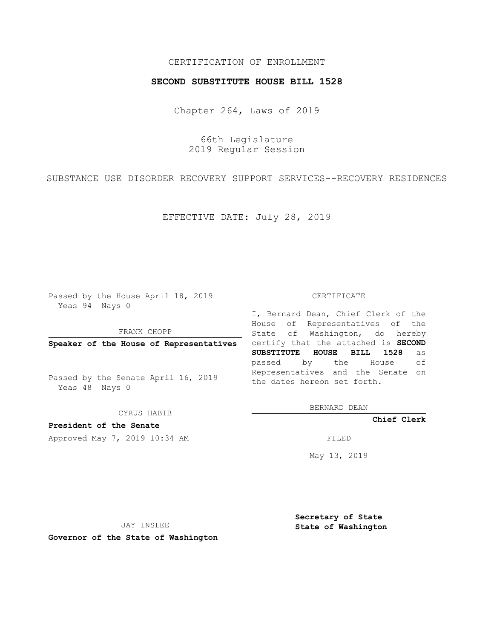## CERTIFICATION OF ENROLLMENT

### **SECOND SUBSTITUTE HOUSE BILL 1528**

Chapter 264, Laws of 2019

66th Legislature 2019 Regular Session

SUBSTANCE USE DISORDER RECOVERY SUPPORT SERVICES--RECOVERY RESIDENCES

EFFECTIVE DATE: July 28, 2019

Passed by the House April 18, 2019 Yeas 94 Nays 0

FRANK CHOPP

**Speaker of the House of Representatives**

Passed by the Senate April 16, 2019 Yeas 48 Nays 0

CYRUS HABIB

**President of the Senate**

Approved May 7, 2019 10:34 AM FILED

#### CERTIFICATE

I, Bernard Dean, Chief Clerk of the House of Representatives of the State of Washington, do hereby certify that the attached is **SECOND SUBSTITUTE HOUSE BILL 1528** as passed by the House of Representatives and the Senate on the dates hereon set forth.

BERNARD DEAN

**Chief Clerk**

May 13, 2019

JAY INSLEE

**Governor of the State of Washington**

**Secretary of State State of Washington**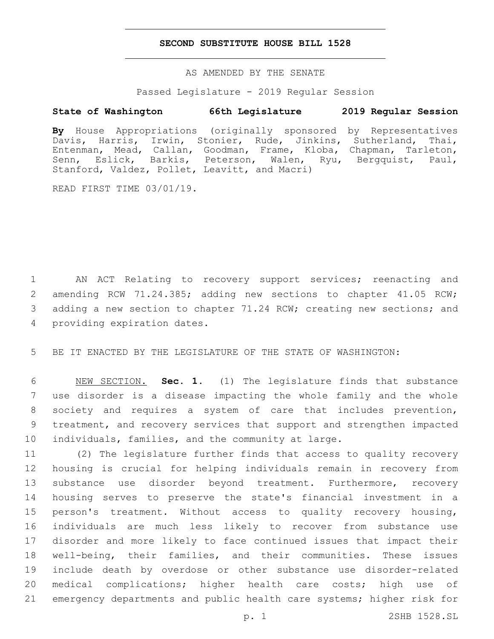## **SECOND SUBSTITUTE HOUSE BILL 1528**

AS AMENDED BY THE SENATE

Passed Legislature - 2019 Regular Session

# **State of Washington 66th Legislature 2019 Regular Session**

**By** House Appropriations (originally sponsored by Representatives Davis, Harris, Irwin, Stonier, Rude, Jinkins, Sutherland, Thai, Entenman, Mead, Callan, Goodman, Frame, Kloba, Chapman, Tarleton, Senn, Eslick, Barkis, Peterson, Walen, Ryu, Bergquist, Paul, Stanford, Valdez, Pollet, Leavitt, and Macri)

READ FIRST TIME 03/01/19.

 AN ACT Relating to recovery support services; reenacting and amending RCW 71.24.385; adding new sections to chapter 41.05 RCW; adding a new section to chapter 71.24 RCW; creating new sections; and 4 providing expiration dates.

5 BE IT ENACTED BY THE LEGISLATURE OF THE STATE OF WASHINGTON:

 NEW SECTION. **Sec. 1.** (1) The legislature finds that substance use disorder is a disease impacting the whole family and the whole society and requires a system of care that includes prevention, treatment, and recovery services that support and strengthen impacted individuals, families, and the community at large.

 (2) The legislature further finds that access to quality recovery housing is crucial for helping individuals remain in recovery from 13 substance use disorder beyond treatment. Furthermore, recovery housing serves to preserve the state's financial investment in a person's treatment. Without access to quality recovery housing, individuals are much less likely to recover from substance use disorder and more likely to face continued issues that impact their well-being, their families, and their communities. These issues include death by overdose or other substance use disorder-related medical complications; higher health care costs; high use of emergency departments and public health care systems; higher risk for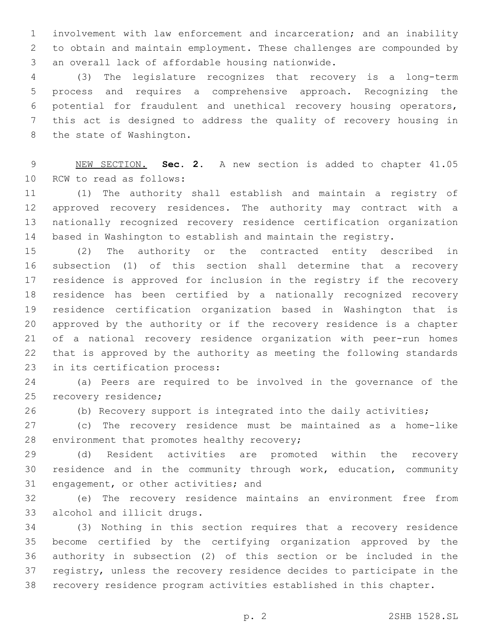involvement with law enforcement and incarceration; and an inability to obtain and maintain employment. These challenges are compounded by 3 an overall lack of affordable housing nationwide.

 (3) The legislature recognizes that recovery is a long-term process and requires a comprehensive approach. Recognizing the potential for fraudulent and unethical recovery housing operators, this act is designed to address the quality of recovery housing in 8 the state of Washington.

 NEW SECTION. **Sec. 2.** A new section is added to chapter 41.05 10 RCW to read as follows:

 (1) The authority shall establish and maintain a registry of approved recovery residences. The authority may contract with a nationally recognized recovery residence certification organization based in Washington to establish and maintain the registry.

 (2) The authority or the contracted entity described in subsection (1) of this section shall determine that a recovery residence is approved for inclusion in the registry if the recovery residence has been certified by a nationally recognized recovery residence certification organization based in Washington that is approved by the authority or if the recovery residence is a chapter of a national recovery residence organization with peer-run homes that is approved by the authority as meeting the following standards 23 in its certification process:

 (a) Peers are required to be involved in the governance of the 25 recovery residence;

(b) Recovery support is integrated into the daily activities;

 (c) The recovery residence must be maintained as a home-like 28 environment that promotes healthy recovery;

 (d) Resident activities are promoted within the recovery residence and in the community through work, education, community 31 engagement, or other activities; and

 (e) The recovery residence maintains an environment free from 33 alcohol and illicit drugs.

 (3) Nothing in this section requires that a recovery residence become certified by the certifying organization approved by the authority in subsection (2) of this section or be included in the registry, unless the recovery residence decides to participate in the recovery residence program activities established in this chapter.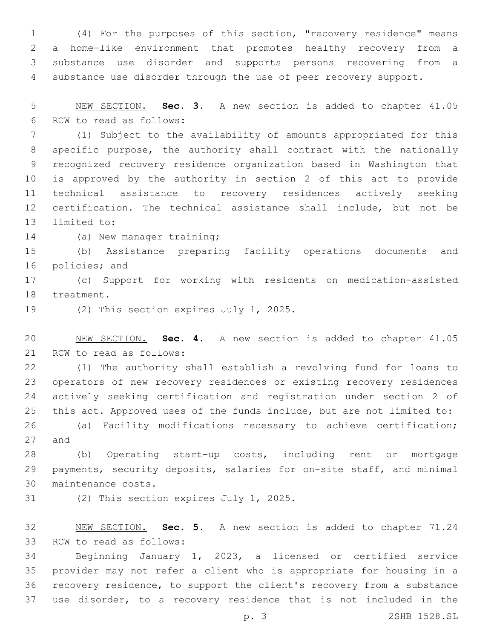(4) For the purposes of this section, "recovery residence" means a home-like environment that promotes healthy recovery from a substance use disorder and supports persons recovering from a substance use disorder through the use of peer recovery support.

 NEW SECTION. **Sec. 3.** A new section is added to chapter 41.05 6 RCW to read as follows:

 (1) Subject to the availability of amounts appropriated for this specific purpose, the authority shall contract with the nationally recognized recovery residence organization based in Washington that is approved by the authority in section 2 of this act to provide technical assistance to recovery residences actively seeking certification. The technical assistance shall include, but not be 13 limited to:

14 (a) New manager training;

 (b) Assistance preparing facility operations documents and 16 policies; and

 (c) Support for working with residents on medication-assisted 18 treatment.

19 (2) This section expires July 1, 2025.

 NEW SECTION. **Sec. 4.** A new section is added to chapter 41.05 21 RCW to read as follows:

 (1) The authority shall establish a revolving fund for loans to operators of new recovery residences or existing recovery residences actively seeking certification and registration under section 2 of this act. Approved uses of the funds include, but are not limited to:

 (a) Facility modifications necessary to achieve certification; 27 and

 (b) Operating start-up costs, including rent or mortgage payments, security deposits, salaries for on-site staff, and minimal 30 maintenance costs.

31 (2) This section expires July 1, 2025.

 NEW SECTION. **Sec. 5.** A new section is added to chapter 71.24 33 RCW to read as follows:

 Beginning January 1, 2023, a licensed or certified service provider may not refer a client who is appropriate for housing in a recovery residence, to support the client's recovery from a substance use disorder, to a recovery residence that is not included in the

p. 3 2SHB 1528.SL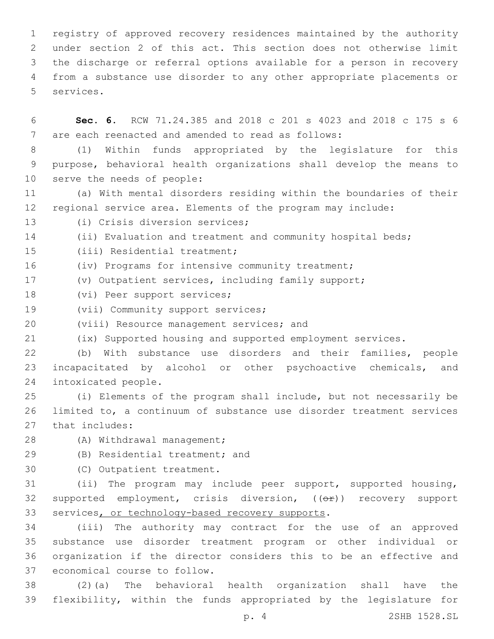registry of approved recovery residences maintained by the authority under section 2 of this act. This section does not otherwise limit the discharge or referral options available for a person in recovery from a substance use disorder to any other appropriate placements or 5 services.

6 **Sec. 6.** RCW 71.24.385 and 2018 c 201 s 4023 and 2018 c 175 s 6 7 are each reenacted and amended to read as follows:

8 (1) Within funds appropriated by the legislature for this 9 purpose, behavioral health organizations shall develop the means to 10 serve the needs of people:

11 (a) With mental disorders residing within the boundaries of their 12 regional service area. Elements of the program may include:

13 (i) Crisis diversion services;

14 (ii) Evaluation and treatment and community hospital beds;

15 (iii) Residential treatment;

16 (iv) Programs for intensive community treatment;

17 (v) Outpatient services, including family support;

18 (vi) Peer support services;

19 (vii) Community support services;

20 (viii) Resource management services; and

21 (ix) Supported housing and supported employment services.

22 (b) With substance use disorders and their families, people 23 incapacitated by alcohol or other psychoactive chemicals, and 24 intoxicated people.

25 (i) Elements of the program shall include, but not necessarily be 26 limited to, a continuum of substance use disorder treatment services 27 that includes:

28 (A) Withdrawal management;

29 (B) Residential treatment; and

30 (C) Outpatient treatment.

31 (ii) The program may include peer support, supported housing, 32 supported employment, crisis diversion, ((OP)) recovery support 33 services, or technology-based recovery supports.

 (iii) The authority may contract for the use of an approved substance use disorder treatment program or other individual or organization if the director considers this to be an effective and 37 economical course to follow.

38 (2)(a) The behavioral health organization shall have the 39 flexibility, within the funds appropriated by the legislature for

p. 4 2SHB 1528.SL